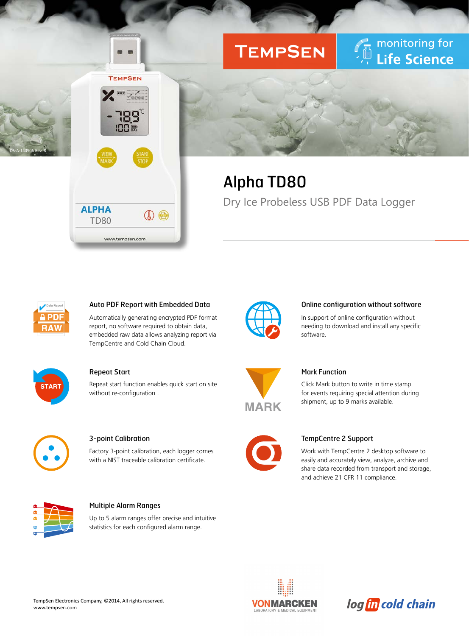# **TEMPSEN**

monitoring for Life Science

## Alpha TD80

Dry Ice Probeless USB PDF Data Logger



DS-A-140906 Rev. B

## Auto PDF Report with Embedded Data

 $\circledcirc$ 

**TEMPSEN** 

Automatically generating encrypted PDF format report, no software required to obtain data, embedded raw data allows analyzing report via TempCentre and Cold Chain Cloud.



### Repeat Start

**ALPHA** 

**TD80** 

www.tempsen.com

Repeat start function enables quick start on site without re-configuration .



## 3-point Calibration

Factory 3-point calibration, each logger comes with a NIST traceable calibration certificate.



### Multiple Alarm Ranges

Up to 5 alarm ranges offer precise and intuitive statistics for each configured alarm range.



#### Online configuration without software

In support of online configuration without needing to download and install any specific software.



## Mark Function

Click Mark button to write in time stamp for events requiring special attention during shipment, up to 9 marks available.



### TempCentre 2 Support

Work with TempCentre 2 desktop software to easily and accurately view, analyze, archive and share data recorded from transport and storage, and achieve 21 CFR 11 compliance.